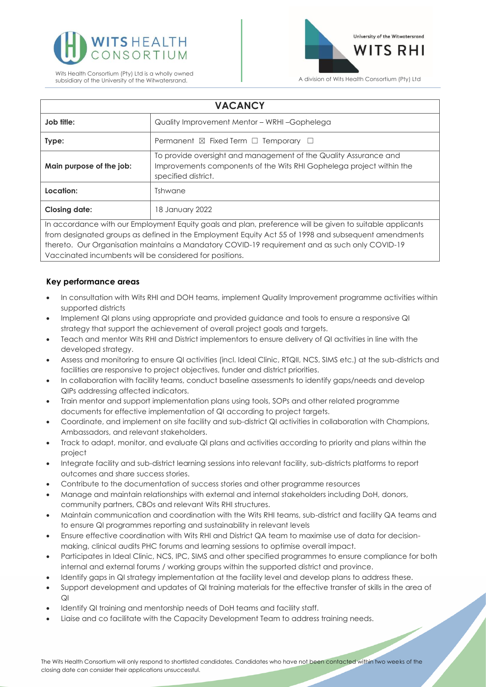



| <b>VACANCY</b>                                                                                                                                                                                                  |                                                                                                                                                                 |
|-----------------------------------------------------------------------------------------------------------------------------------------------------------------------------------------------------------------|-----------------------------------------------------------------------------------------------------------------------------------------------------------------|
| Job title:                                                                                                                                                                                                      | Quality Improvement Mentor - WRHI-Gophelega                                                                                                                     |
| Type:                                                                                                                                                                                                           | Permanent $\boxtimes$ Fixed Term $\Box$ Temporary $\Box$                                                                                                        |
| Main purpose of the job:                                                                                                                                                                                        | To provide oversight and management of the Quality Assurance and<br>Improvements components of the Wits RHI Gophelega project within the<br>specified district. |
| Location:                                                                                                                                                                                                       | Tshwane                                                                                                                                                         |
| <b>Closing date:</b>                                                                                                                                                                                            | 18 January 2022                                                                                                                                                 |
| In accordance with our Employment Equity goals and plan, preference will be given to suitable applicants<br>from designated groups as defined in the Employment Equity Act 55 of 1998 and subsequent amendments |                                                                                                                                                                 |

thereto. Our Organisation maintains a Mandatory COVID-19 requirement and as such only COVID-19 Vaccinated incumbents will be considered for positions.

### **Key performance areas**

- In consultation with Wits RHI and DOH teams, implement Quality Improvement programme activities within supported districts
- Implement QI plans using appropriate and provided guidance and tools to ensure a responsive QI strategy that support the achievement of overall project goals and targets.
- Teach and mentor Wits RHI and District implementors to ensure delivery of QI activities in line with the developed strategy.
- Assess and monitoring to ensure QI activities (incl. Ideal Clinic, RTQII, NCS, SIMS etc.) at the sub-districts and facilities are responsive to project objectives, funder and district priorities.
- In collaboration with facility teams, conduct baseline assessments to identify gaps/needs and develop QIPs addressing affected indicators.
- Train mentor and support implementation plans using tools, SOPs and other related programme documents for effective implementation of QI according to project targets.
- Coordinate, and implement on site facility and sub-district QI activities in collaboration with Champions, Ambassadors, and relevant stakeholders.
- Track to adapt, monitor, and evaluate QI plans and activities according to priority and plans within the project
- Integrate facility and sub-district learning sessions into relevant facility, sub-districts platforms to report outcomes and share success stories.
- Contribute to the documentation of success stories and other programme resources
- Manage and maintain relationships with external and internal stakeholders including DoH, donors, community partners, CBOs and relevant Wits RHI structures.
- Maintain communication and coordination with the Wits RHI teams, sub-district and facility QA teams and to ensure QI programmes reporting and sustainability in relevant levels
- Ensure effective coordination with Wits RHI and District QA team to maximise use of data for decisionmaking, clinical audits PHC forums and learning sessions to optimise overall impact.
- Participates in Ideal Clinic, NCS, IPC, SIMS and other specified programmes to ensure compliance for both internal and external forums / working groups within the supported district and province.
- Identify gaps in QI strategy implementation at the facility level and develop plans to address these.
- Support development and updates of QI training materials for the effective transfer of skills in the area of  $\Omega$
- Identify QI training and mentorship needs of DoH teams and facility staff.
- Liaise and co facilitate with the Capacity Development Team to address training needs.